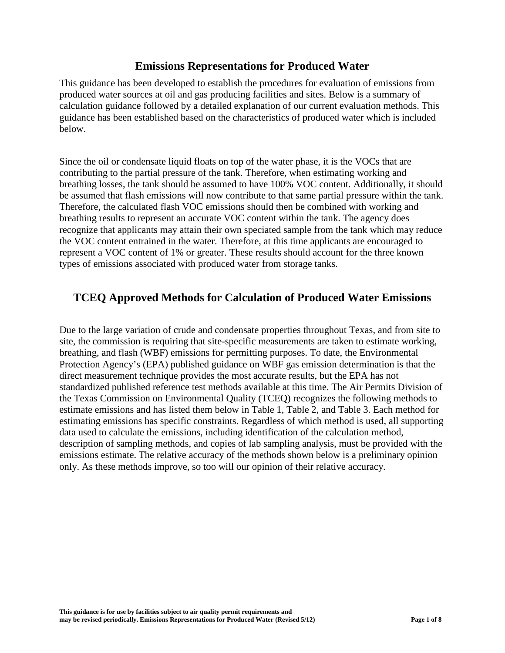## **Emissions Representations for Produced Water**

This guidance has been developed to establish the procedures for evaluation of emissions from produced water sources at oil and gas producing facilities and sites. Below is a summary of calculation guidance followed by a detailed explanation of our current evaluation methods. This guidance has been established based on the characteristics of produced water which is included below.

Since the oil or condensate liquid floats on top of the water phase, it is the VOCs that are contributing to the partial pressure of the tank. Therefore, when estimating working and breathing losses, the tank should be assumed to have 100% VOC content. Additionally, it should be assumed that flash emissions will now contribute to that same partial pressure within the tank. Therefore, the calculated flash VOC emissions should then be combined with working and breathing results to represent an accurate VOC content within the tank. The agency does recognize that applicants may attain their own speciated sample from the tank which may reduce the VOC content entrained in the water. Therefore, at this time applicants are encouraged to represent a VOC content of 1% or greater. These results should account for the three known types of emissions associated with produced water from storage tanks.

# **TCEQ Approved Methods for Calculation of Produced Water Emissions**

Due to the large variation of crude and condensate properties throughout Texas, and from site to site, the commission is requiring that site-specific measurements are taken to estimate working, breathing, and flash (WBF) emissions for permitting purposes. To date, the Environmental Protection Agency's (EPA) published guidance on WBF gas emission determination is that the direct measurement technique provides the most accurate results, but the EPA has not standardized published reference test methods available at this time. The Air Permits Division of the Texas Commission on Environmental Quality (TCEQ) recognizes the following methods to estimate emissions and has listed them below in Table 1, Table 2, and Table 3. Each method for estimating emissions has specific constraints. Regardless of which method is used, all supporting data used to calculate the emissions, including identification of the calculation method, description of sampling methods, and copies of lab sampling analysis, must be provided with the emissions estimate. The relative accuracy of the methods shown below is a preliminary opinion only. As these methods improve, so too will our opinion of their relative accuracy.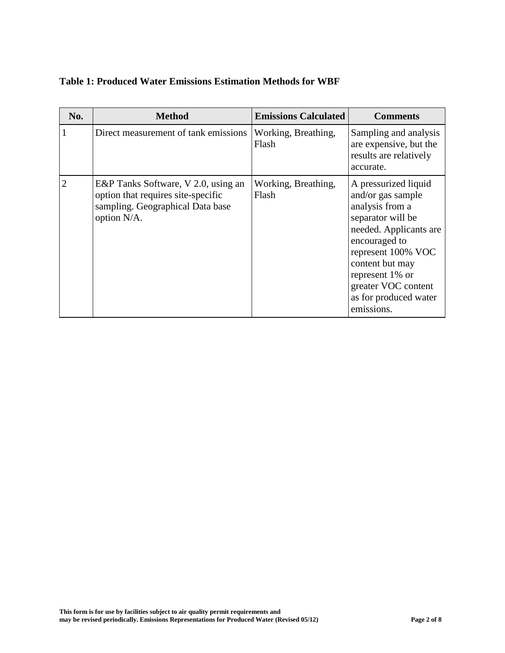| <b>Table 1: Produced Water Emissions Estimation Methods for WBF</b> |  |
|---------------------------------------------------------------------|--|
|---------------------------------------------------------------------|--|

| No.            | <b>Method</b>                                                                                                                | <b>Emissions Calculated</b>  | <b>Comments</b>                                                                                                                                                                                                                                        |
|----------------|------------------------------------------------------------------------------------------------------------------------------|------------------------------|--------------------------------------------------------------------------------------------------------------------------------------------------------------------------------------------------------------------------------------------------------|
|                | Direct measurement of tank emissions                                                                                         | Working, Breathing,<br>Flash | Sampling and analysis<br>are expensive, but the<br>results are relatively<br>accurate.                                                                                                                                                                 |
| $\mathfrak{D}$ | E&P Tanks Software, V 2.0, using an<br>option that requires site-specific<br>sampling. Geographical Data base<br>option N/A. | Working, Breathing,<br>Flash | A pressurized liquid<br>and/or gas sample<br>analysis from a<br>separator will be<br>needed. Applicants are<br>encouraged to<br>represent 100% VOC<br>content but may<br>represent 1% or<br>greater VOC content<br>as for produced water<br>emissions. |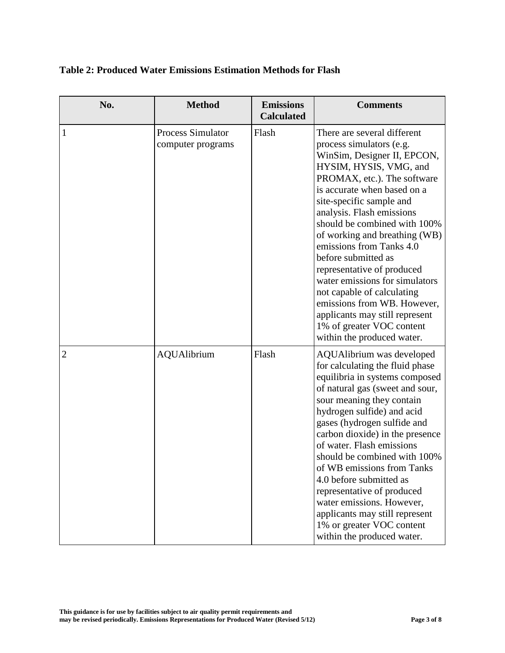# **Table 2: Produced Water Emissions Estimation Methods for Flash**

| No.            | <b>Method</b>                                 | <b>Emissions</b><br><b>Calculated</b> | <b>Comments</b>                                                                                                                                                                                                                                                                                                                                                                                                                                                                                                                                                                       |
|----------------|-----------------------------------------------|---------------------------------------|---------------------------------------------------------------------------------------------------------------------------------------------------------------------------------------------------------------------------------------------------------------------------------------------------------------------------------------------------------------------------------------------------------------------------------------------------------------------------------------------------------------------------------------------------------------------------------------|
| 1              | <b>Process Simulator</b><br>computer programs | Flash                                 | There are several different<br>process simulators (e.g.<br>WinSim, Designer II, EPCON,<br>HYSIM, HYSIS, VMG, and<br>PROMAX, etc.). The software<br>is accurate when based on a<br>site-specific sample and<br>analysis. Flash emissions<br>should be combined with 100%<br>of working and breathing (WB)<br>emissions from Tanks 4.0<br>before submitted as<br>representative of produced<br>water emissions for simulators<br>not capable of calculating<br>emissions from WB. However,<br>applicants may still represent<br>1% of greater VOC content<br>within the produced water. |
| $\overline{2}$ | <b>AQUAlibrium</b>                            | Flash                                 | AQUAlibrium was developed<br>for calculating the fluid phase<br>equilibria in systems composed<br>of natural gas (sweet and sour,<br>sour meaning they contain<br>hydrogen sulfide) and acid<br>gases (hydrogen sulfide and<br>carbon dioxide) in the presence<br>of water. Flash emissions<br>should be combined with 100%<br>of WB emissions from Tanks<br>4.0 before submitted as<br>representative of produced<br>water emissions. However,<br>applicants may still represent<br>1% or greater VOC content<br>within the produced water.                                          |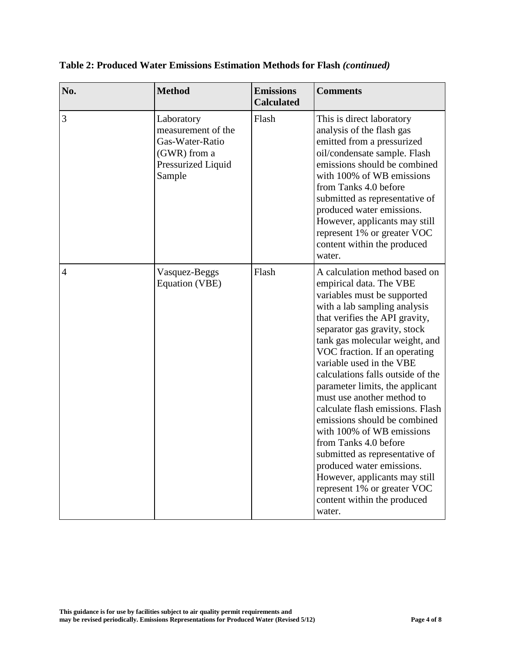| No.            | <b>Method</b>                                                                                       | <b>Emissions</b><br><b>Calculated</b> | <b>Comments</b>                                                                                                                                                                                                                                                                                                                                                                                                                                                                                                                                                                                                                                                                                  |
|----------------|-----------------------------------------------------------------------------------------------------|---------------------------------------|--------------------------------------------------------------------------------------------------------------------------------------------------------------------------------------------------------------------------------------------------------------------------------------------------------------------------------------------------------------------------------------------------------------------------------------------------------------------------------------------------------------------------------------------------------------------------------------------------------------------------------------------------------------------------------------------------|
| 3              | Laboratory<br>measurement of the<br>Gas-Water-Ratio<br>(GWR) from a<br>Pressurized Liquid<br>Sample | Flash                                 | This is direct laboratory<br>analysis of the flash gas<br>emitted from a pressurized<br>oil/condensate sample. Flash<br>emissions should be combined<br>with 100% of WB emissions<br>from Tanks 4.0 before<br>submitted as representative of<br>produced water emissions.<br>However, applicants may still<br>represent 1% or greater VOC<br>content within the produced<br>water.                                                                                                                                                                                                                                                                                                               |
| $\overline{4}$ | Vasquez-Beggs<br><b>Equation (VBE)</b>                                                              | Flash                                 | A calculation method based on<br>empirical data. The VBE<br>variables must be supported<br>with a lab sampling analysis<br>that verifies the API gravity,<br>separator gas gravity, stock<br>tank gas molecular weight, and<br>VOC fraction. If an operating<br>variable used in the VBE<br>calculations falls outside of the<br>parameter limits, the applicant<br>must use another method to<br>calculate flash emissions. Flash<br>emissions should be combined<br>with 100% of WB emissions<br>from Tanks 4.0 before<br>submitted as representative of<br>produced water emissions.<br>However, applicants may still<br>represent 1% or greater VOC<br>content within the produced<br>water. |

**Table 2: Produced Water Emissions Estimation Methods for Flash** *(continued)*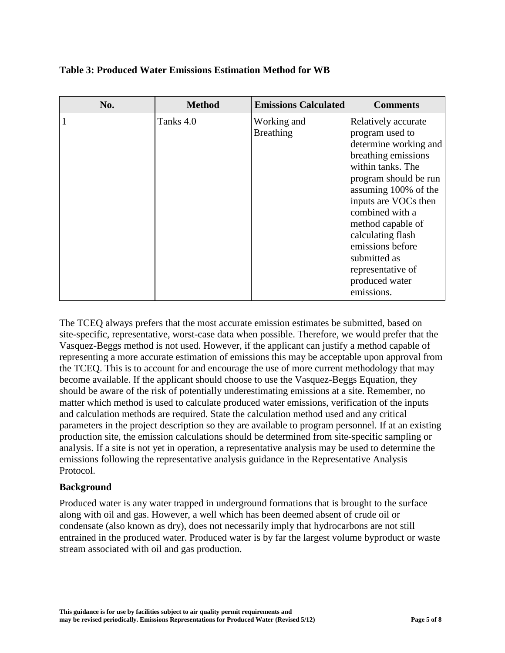| No. | <b>Method</b> | <b>Emissions Calculated</b>     | <b>Comments</b>                                                                                                                                                                                                                                                                                                                            |
|-----|---------------|---------------------------------|--------------------------------------------------------------------------------------------------------------------------------------------------------------------------------------------------------------------------------------------------------------------------------------------------------------------------------------------|
|     | Tanks 4.0     | Working and<br><b>Breathing</b> | Relatively accurate<br>program used to<br>determine working and<br>breathing emissions<br>within tanks. The<br>program should be run<br>assuming 100% of the<br>inputs are VOCs then<br>combined with a<br>method capable of<br>calculating flash<br>emissions before<br>submitted as<br>representative of<br>produced water<br>emissions. |

### **Table 3: Produced Water Emissions Estimation Method for WB**

The TCEQ always prefers that the most accurate emission estimates be submitted, based on site-specific, representative, worst-case data when possible. Therefore, we would prefer that the Vasquez-Beggs method is not used. However, if the applicant can justify a method capable of representing a more accurate estimation of emissions this may be acceptable upon approval from the TCEQ. This is to account for and encourage the use of more current methodology that may become available. If the applicant should choose to use the Vasquez-Beggs Equation, they should be aware of the risk of potentially underestimating emissions at a site. Remember, no matter which method is used to calculate produced water emissions, verification of the inputs and calculation methods are required. State the calculation method used and any critical parameters in the project description so they are available to program personnel. If at an existing production site, the emission calculations should be determined from site-specific sampling or analysis. If a site is not yet in operation, a representative analysis may be used to determine the emissions following the representative analysis guidance in the Representative Analysis Protocol.

#### **Background**

Produced water is any water trapped in underground formations that is brought to the surface along with oil and gas. However, a well which has been deemed absent of crude oil or condensate (also known as dry), does not necessarily imply that hydrocarbons are not still entrained in the produced water. Produced water is by far the largest volume byproduct or waste stream associated with oil and gas production.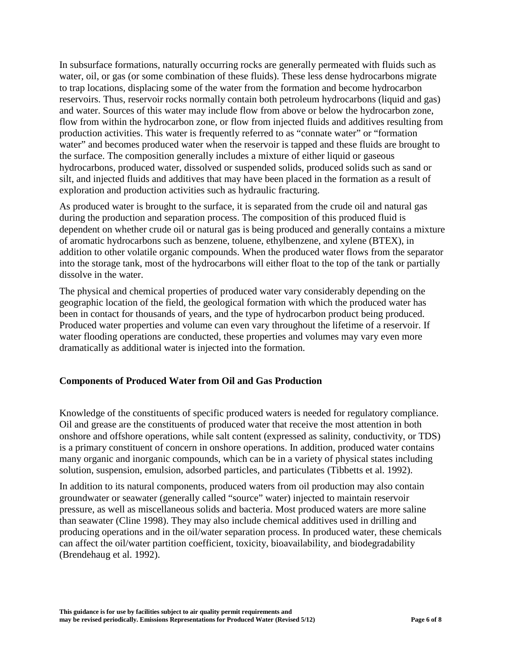In subsurface formations, naturally occurring rocks are generally permeated with fluids such as water, oil, or gas (or some combination of these fluids). These less dense hydrocarbons migrate to trap locations, displacing some of the water from the formation and become hydrocarbon reservoirs. Thus, reservoir rocks normally contain both petroleum hydrocarbons (liquid and gas) and water. Sources of this water may include flow from above or below the hydrocarbon zone, flow from within the hydrocarbon zone, or flow from injected fluids and additives resulting from production activities. This water is frequently referred to as "connate water" or "formation water" and becomes produced water when the reservoir is tapped and these fluids are brought to the surface. The composition generally includes a mixture of either liquid or gaseous hydrocarbons, produced water, dissolved or suspended solids, produced solids such as sand or silt, and injected fluids and additives that may have been placed in the formation as a result of exploration and production activities such as hydraulic fracturing.

As produced water is brought to the surface, it is separated from the crude oil and natural gas during the production and separation process. The composition of this produced fluid is dependent on whether crude oil or natural gas is being produced and generally contains a mixture of aromatic hydrocarbons such as benzene, toluene, ethylbenzene, and xylene (BTEX), in addition to other volatile organic compounds. When the produced water flows from the separator into the storage tank, most of the hydrocarbons will either float to the top of the tank or partially dissolve in the water.

The physical and chemical properties of produced water vary considerably depending on the geographic location of the field, the geological formation with which the produced water has been in contact for thousands of years, and the type of hydrocarbon product being produced. Produced water properties and volume can even vary throughout the lifetime of a reservoir. If water flooding operations are conducted, these properties and volumes may vary even more dramatically as additional water is injected into the formation.

### **Components of Produced Water from Oil and Gas Production**

Knowledge of the constituents of specific produced waters is needed for regulatory compliance. Oil and grease are the constituents of produced water that receive the most attention in both onshore and offshore operations, while salt content (expressed as salinity, conductivity, or TDS) is a primary constituent of concern in onshore operations. In addition, produced water contains many organic and inorganic compounds, which can be in a variety of physical states including solution, suspension, emulsion, adsorbed particles, and particulates (Tibbetts et al. 1992).

In addition to its natural components, produced waters from oil production may also contain groundwater or seawater (generally called "source" water) injected to maintain reservoir pressure, as well as miscellaneous solids and bacteria. Most produced waters are more saline than seawater (Cline 1998). They may also include chemical additives used in drilling and producing operations and in the oil/water separation process. In produced water, these chemicals can affect the oil/water partition coefficient, toxicity, bioavailability, and biodegradability (Brendehaug et al. 1992).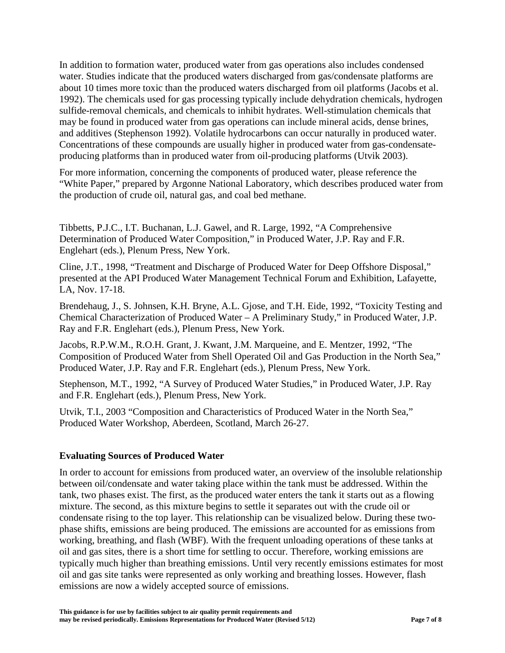In addition to formation water, produced water from gas operations also includes condensed water. Studies indicate that the produced waters discharged from gas/condensate platforms are about 10 times more toxic than the produced waters discharged from oil platforms (Jacobs et al. 1992). The chemicals used for gas processing typically include dehydration chemicals, hydrogen sulfide-removal chemicals, and chemicals to inhibit hydrates. Well-stimulation chemicals that may be found in produced water from gas operations can include mineral acids, dense brines, and additives (Stephenson 1992). Volatile hydrocarbons can occur naturally in produced water. Concentrations of these compounds are usually higher in produced water from gas-condensateproducing platforms than in produced water from oil-producing platforms (Utvik 2003).

For more information, concerning the components of produced water, please reference the "White Paper," prepared by Argonne National Laboratory, which describes produced water from the production of crude oil, natural gas, and coal bed methane.

Tibbetts, P.J.C., I.T. Buchanan, L.J. Gawel, and R. Large, 1992, "A Comprehensive Determination of Produced Water Composition," in Produced Water, J.P. Ray and F.R. Englehart (eds.), Plenum Press, New York.

Cline, J.T., 1998, "Treatment and Discharge of Produced Water for Deep Offshore Disposal," presented at the API Produced Water Management Technical Forum and Exhibition, Lafayette, LA, Nov. 17-18.

Brendehaug, J., S. Johnsen, K.H. Bryne, A.L. Gjose, and T.H. Eide, 1992, "Toxicity Testing and Chemical Characterization of Produced Water – A Preliminary Study," in Produced Water, J.P. Ray and F.R. Englehart (eds.), Plenum Press, New York.

Jacobs, R.P.W.M., R.O.H. Grant, J. Kwant, J.M. Marqueine, and E. Mentzer, 1992, "The Composition of Produced Water from Shell Operated Oil and Gas Production in the North Sea," Produced Water, J.P. Ray and F.R. Englehart (eds.), Plenum Press, New York.

Stephenson, M.T., 1992, "A Survey of Produced Water Studies," in Produced Water, J.P. Ray and F.R. Englehart (eds.), Plenum Press, New York.

Utvik, T.I., 2003 "Composition and Characteristics of Produced Water in the North Sea," Produced Water Workshop, Aberdeen, Scotland, March 26-27.

#### **Evaluating Sources of Produced Water**

In order to account for emissions from produced water, an overview of the insoluble relationship between oil/condensate and water taking place within the tank must be addressed. Within the tank, two phases exist. The first, as the produced water enters the tank it starts out as a flowing mixture. The second, as this mixture begins to settle it separates out with the crude oil or condensate rising to the top layer. This relationship can be visualized below. During these twophase shifts, emissions are being produced. The emissions are accounted for as emissions from working, breathing, and flash (WBF). With the frequent unloading operations of these tanks at oil and gas sites, there is a short time for settling to occur. Therefore, working emissions are typically much higher than breathing emissions. Until very recently emissions estimates for most oil and gas site tanks were represented as only working and breathing losses. However, flash emissions are now a widely accepted source of emissions.